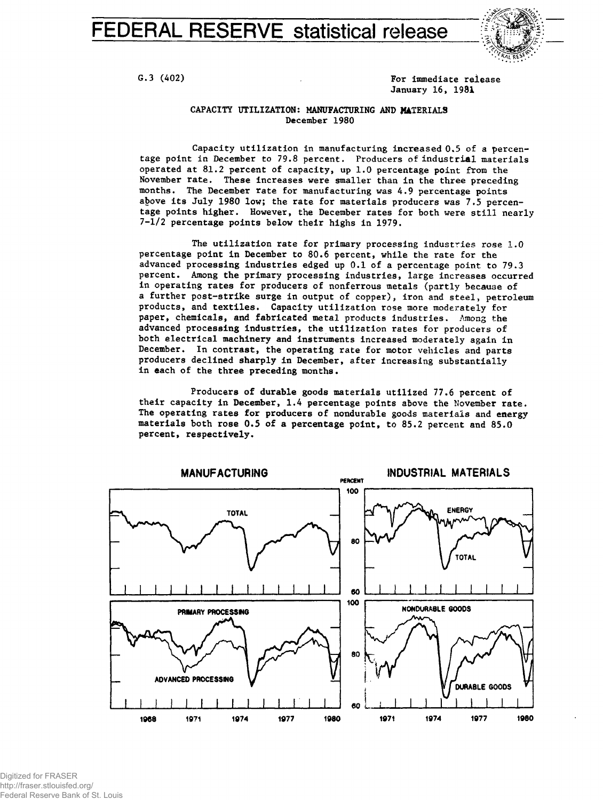FEDERAL RESERVE statistical release



G.3 (402) G.3 (402) **For immediate release** January 16, 1981

## CAPACITY UTILIZATION: MANUFACTURING AND MATERIALS December 1980

Capacity utilization in manufacturing increased 0.5 of a percentage point in December to 79.8 percent. Producers of industrial materials operated at 81.2 percent of capacity, up 1.0 percentage point from the November rate. These increases were smaller than in the three preceding months. The December rate for manufacturing was 4.9 percentage points above its July 1980 low; the rate for materials producers was 7.5 percentage points higher. However, the December rates for both were still nearly 7-1/2 percentage points below their highs in 1979.

The utilization rate for primary processing industries rose 1.0 percentage point in December to 80.6 percent, while the rate for the advanced processing industries edged up 0.1 of a percentage point to 79.3 percent. Among the primary processing industries, large increases occurred in operating rates for producers of nonferrous metals (partly because of a further post-strike surge in output of copper), iron and steel, petroleum products, and textiles. Capacity utilization rose more moderately for paper, chemicals, and fabricated metal products industries. Among the advanced processing industries, the utilization rates for producers of both electrical machinery and instruments increased moderately again in December. In contrast, the operating rate for motor vehicles and parts producers declined sharply in December, after increasing substantially in each of the three preceding months.

Producers of durable goods materials utilized 77.6 percent of their capacity in December, 1.4 percentage points above the November rate. The operating rates for producers of nondurable goods materials and energy materials both rose 0.5 of a percentage point, to 85.2 percent and 85.0 percent, respectively.